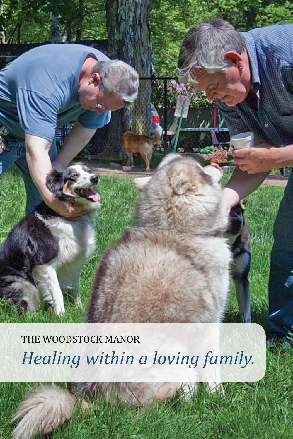*Healing within a loving family.* THE WOODSTOCK MANOR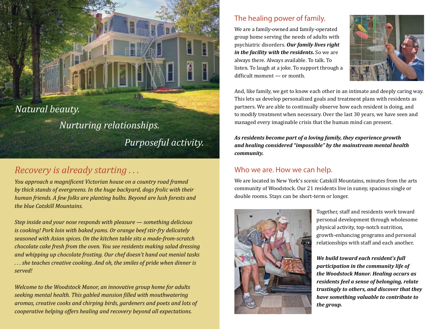*Natural beauty.*

# *Nurturing relationships.*

*Purposeful activity.*

## *Recovery is already starting . . .*

*You approach a magnificent Victorian house on a country road framed by thick stands of evergreens. In the huge backyard, dogs frolic with their human friends. A few folks are planting bulbs. Beyond are lush forests and the blue Catskill Mountains.* 

*Step inside and your nose responds with pleasure — something delicious is cooking! Pork loin with baked yams. Or orange beef stir-fry delicately seasoned with Asian spices. On the kitchen table sits a made-from-scratch chocolate cake fresh from the oven. You see residents making salad dressing and whipping up chocolate frosting. Our chef doesn't hand out menial tasks . . . she teaches creative cooking. And oh, the smiles of pride when dinner is served!*

*Welcome to the Woodstock Manor, an innovative group home for adults seeking mental health. This gabled mansion filled with mouthwatering aromas, creative cooks and chirping birds, gardeners and poets and lots of cooperative helping offers healing and recovery beyond all expectations.* 

## The healing power of family.

We are a family-owned and family-operated group home serving the needs of adults with psychiatric disorders. *Our family lives right in the facility with the residents***.** So we are always there. Always available. To talk. To listen. To laugh at a joke. To support through a difficult moment — or month.



And, like family, we get to know each other in an intimate and deeply caring way. This lets us develop personalized goals and treatment plans with residents as partners. We are able to continually observe how each resident is doing, and to modify treatment when necessary. Over the last 30 years, we have seen and managed every imaginable crisis that the human mind can present.

*As residents become part of a loving family, they experience growth and healing considered "impossible" by the mainstream mental health community.* 

#### Who we are. How we can help.

We are located in New York's scenic Catskill Mountains, minutes from the arts community of Woodstock. Our 21 residents live in sunny, spacious single or double rooms. Stays can be short-term or longer.



Together, staff and residents work toward personal development through wholesome physical activity, top-notch nutrition, growth-enhancing programs and personal relationships with staff and each another.

*We build toward each resident's full participation in the community life of the Woodstock Manor. Healing occurs as residents feel a sense of belonging, relate trustingly to others, and discover that they have something valuable to contribute to the group.*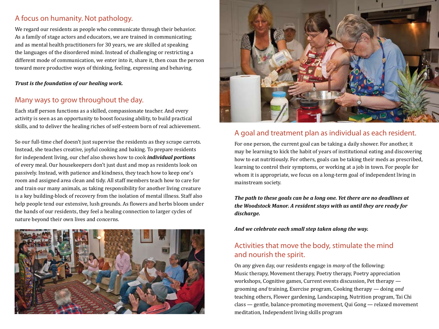## A focus on humanity. Not pathology.

We regard our residents as people who communicate through their behavior. As a family of stage actors and educators, we are trained in communicating; and as mental health practitioners for 30 years, we are skilled at speaking the languages of the disordered mind. Instead of challenging or restricting a different mode of communication, we enter into it, share it, then coax the person toward more productive ways of thinking, feeling, expressing and behaving.

#### *Trust is the foundation of our healing work.*

#### Many ways to grow throughout the day.

Each staff person functions as a skilled, compassionate teacher. And every activity is seen as an opportunity to boost focusing ability, to build practical skills, and to deliver the healing riches of self-esteem born of real achievement.

So our full-time chef doesn't just supervise the residents as they scrape carrots. Instead, she teaches creative, joyful cooking and baking. To prepare residents for independent living, our chef also shows how to cook *individual portions* of every meal. Our housekeepers don't just dust and mop as residents look on passively. Instead, with patience and kindness, they teach how to keep one's room and assigned area clean and tidy. All staff members teach how to care for and train our many animals, as taking responsibility for another living creature is a key building-block of recovery from the isolation of mental illness. Staff also help people tend our extensive, lush grounds. As flowers and herbs bloom under the hands of our residents, they feel a healing connection to larger cycles of nature beyond their own lives and concerns.





#### A goal and treatment plan as individual as each resident.

For one person, the current goal can be taking a daily shower. For another, it may be learning to kick the habit of years of institutional eating and discovering how to eat nutritiously. For others, goals can be taking their meds as prescribed, learning to control their symptoms, or working at a job in town. For people for whom it is appropriate, we focus on a long-term goal of independent living in mainstream society.

*The path to these goals can be a long one. Yet there are no deadlines at the Woodstock Manor. A resident stays with us until they are ready for discharge.* 

*And we celebrate each small step taken along the way.*

## Activities that move the body, stimulate the mind and nourish the spirit.

On any given day, our residents engage in *many* of the following: Music therapy, Movement therapy, Poetry therapy, Poetry appreciation workshops, Cognitive games, Current events discussion, Pet therapy grooming *and* training, Exercise program, Cooking therapy — doing *and* teaching others, Flower gardening, Landscaping, Nutrition program, Tai Chi class — gentle, balance-promoting movement, Qui Gong — relaxed movement meditation, Independent living skills program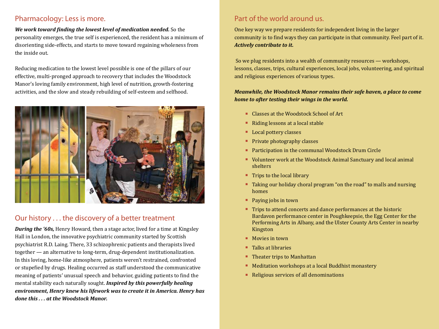#### Pharmacology: Less is more.

*We work toward finding the lowest level of medication needed.* So the personality emerges, the true self is experienced, the resident has a minimum of disorienting side-effects, and starts to move toward regaining wholeness from the inside out.

Reducing medication to the lowest level possible is one of the pillars of our effective, multi-pronged approach to recovery that includes the Woodstock Manor's loving family environment, high level of nutrition, growth-fostering activities, and the slow and steady rebuilding of self-esteem and selfhood.



## Our history . . . the discovery of a better treatment

*During the '60s,* Henry Howard, then a stage actor, lived for a time at Kingsley Hall in London, the innovative psychiatric community started by Scottish psychiatrist R.D. Laing. There, 33 schizophrenic patients and therapists lived together — an alternative to long-term, drug-dependent institutionalization. In this loving, home-like atmosphere, patients weren't restrained, confronted or stupefied by drugs. Healing occurred as staff understood the communicative meaning of patients' unusual speech and behavior, guiding patients to find the mental stability each naturally sought. *Inspired by this powerfully healing environment, Henry knew his lifework was to create it in America. Henry has done this . . . at the Woodstock Manor.* 

#### Part of the world around us.

One key way we prepare residents for independent living in the larger community is to find ways they can participate in that community. Feel part of it. *Actively contribute to it.* 

So we plug residents into a wealth of community resources — workshops, lessons, classes, trips, cultural experiences, local jobs, volunteering, and spiritual and religious experiences of various types.

#### *Meanwhile, the Woodstock Manor remains their safe haven, a place to come home to after testing their wings in the world.*

- $\blacksquare$  Classes at the Woodstock School of Art
- Riding lessons at a local stable
- **Local pottery classes**
- $\blacksquare$  Private photography classes
- Participation in the communal Woodstock Drum Circle
- volunteer work at the Woodstock Animal Sanctuary and local animal shelters
- $\blacksquare$  Trips to the local library
- $\blacksquare$  Taking our holiday choral program "on the road" to malls and nursing homes
- Paying jobs in town
- Trips to attend concerts and dance performances at the historic Bardavon performance center in Poughkeepsie, the Egg Center for the Performing Arts in Albany, and the Ulster County Arts Center in nearby Kingston
- $Movies$  in town
- $\blacksquare$  Talks at libraries
- $\blacksquare$  Theater trips to Manhattan
- **EXTER 19 Incontation workshops at a local Buddhist monastery**
- $\blacksquare$  Religious services of all denominations